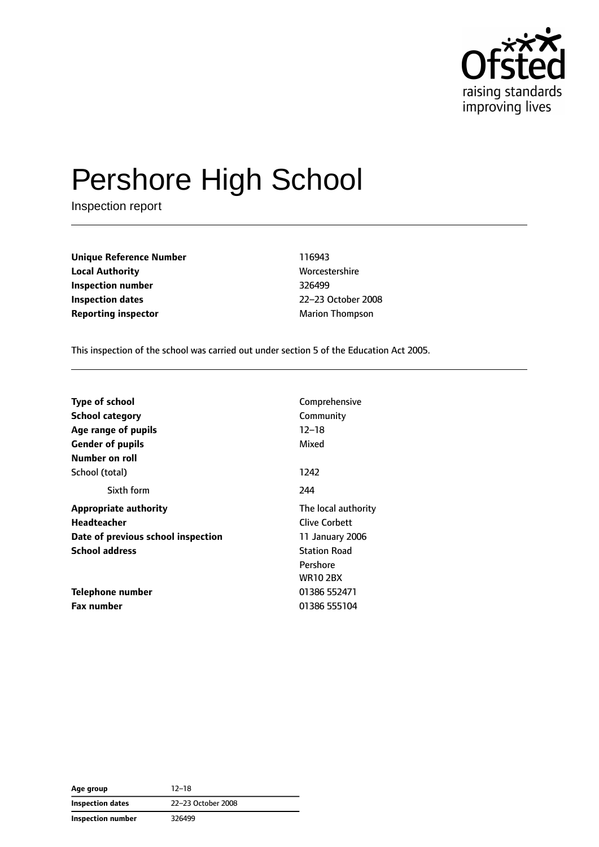

# Pershore High School

Inspection report

**Unique Reference Number** 116943 **Local Authority** Morcestershire **Inspection number** 326499 **Inspection dates** 22–23 October 2008 **Reporting inspector** Marion Thompson

This inspection of the school was carried out under section 5 of the Education Act 2005.

| Comprehensive       |
|---------------------|
| Community           |
| $12 - 18$           |
| Mixed               |
|                     |
| 1242                |
| 244                 |
| The local authority |
| Clive Corbett       |
| 11 January 2006     |
| <b>Station Road</b> |
| Pershore            |
| <b>WR10 2BX</b>     |
| 01386 552471        |
| 01386 555104        |
|                     |

**Age group** 12–18 **Inspection dates** 22–23 October 2008 **Inspection number** 326499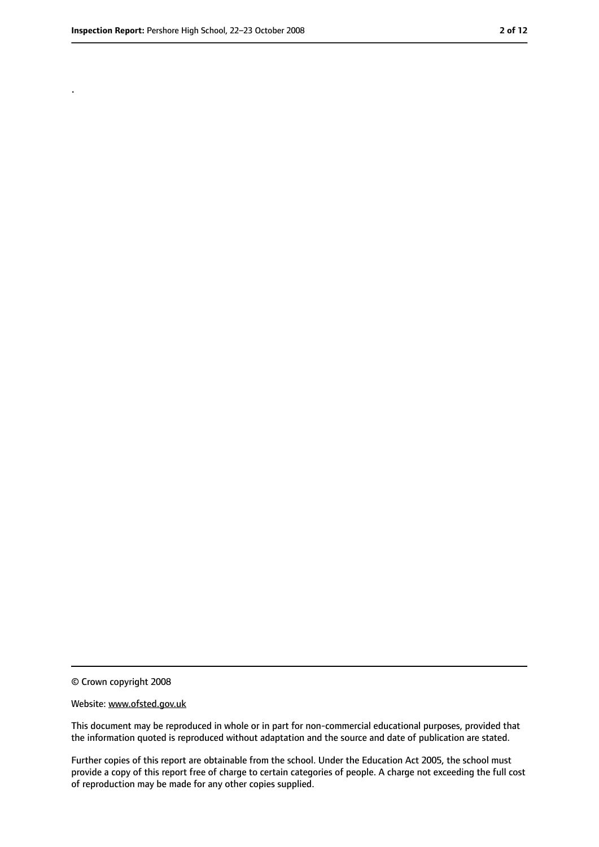.

<sup>©</sup> Crown copyright 2008

Website: www.ofsted.gov.uk

This document may be reproduced in whole or in part for non-commercial educational purposes, provided that the information quoted is reproduced without adaptation and the source and date of publication are stated.

Further copies of this report are obtainable from the school. Under the Education Act 2005, the school must provide a copy of this report free of charge to certain categories of people. A charge not exceeding the full cost of reproduction may be made for any other copies supplied.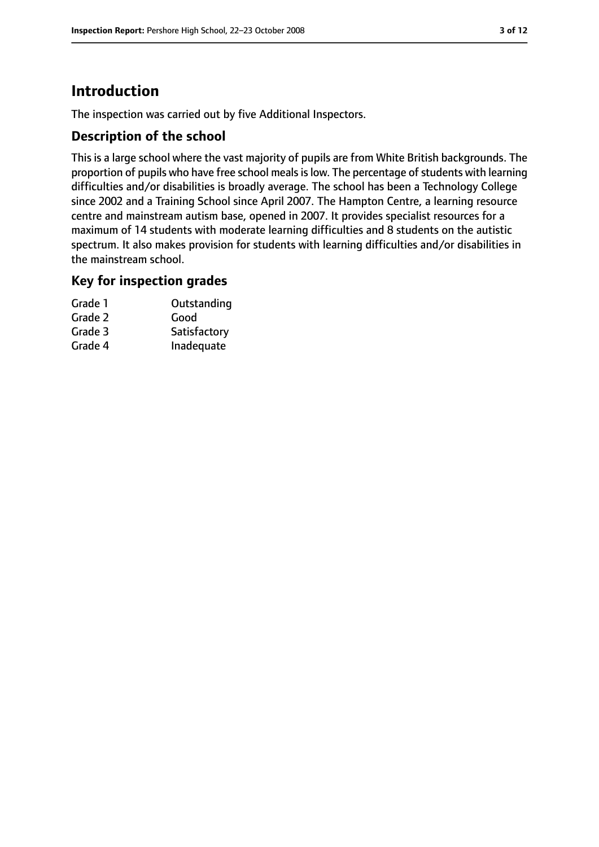# **Introduction**

The inspection was carried out by five Additional Inspectors.

# **Description of the school**

This is a large school where the vast majority of pupils are from White British backgrounds. The proportion of pupils who have free school meals is low. The percentage of students with learning difficulties and/or disabilities is broadly average. The school has been a Technology College since 2002 and a Training School since April 2007. The Hampton Centre, a learning resource centre and mainstream autism base, opened in 2007. It provides specialist resources for a maximum of 14 students with moderate learning difficulties and 8 students on the autistic spectrum. It also makes provision for students with learning difficulties and/or disabilities in the mainstream school.

## **Key for inspection grades**

| Grade 1 | Outstanding  |
|---------|--------------|
| Grade 2 | Good         |
| Grade 3 | Satisfactory |
| Grade 4 | Inadequate   |
|         |              |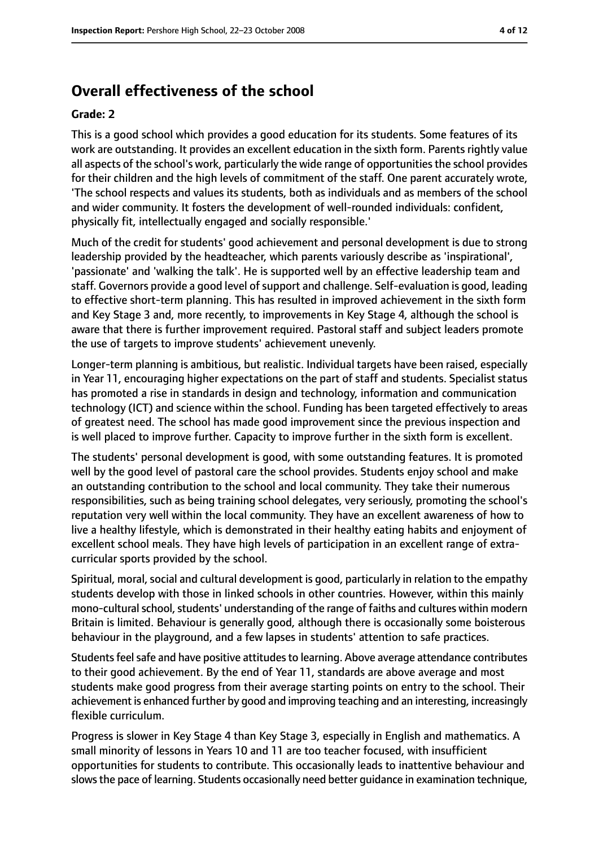# **Overall effectiveness of the school**

#### **Grade: 2**

This is a good school which provides a good education for its students. Some features of its work are outstanding. It provides an excellent education in the sixth form. Parents rightly value all aspects of the school's work, particularly the wide range of opportunities the school provides for their children and the high levels of commitment of the staff. One parent accurately wrote, 'The school respects and values its students, both as individuals and as members of the school and wider community. It fosters the development of well-rounded individuals: confident, physically fit, intellectually engaged and socially responsible.'

Much of the credit for students' good achievement and personal development is due to strong leadership provided by the headteacher, which parents variously describe as 'inspirational', 'passionate' and 'walking the talk'. He is supported well by an effective leadership team and staff. Governors provide a good level of support and challenge. Self-evaluation is good, leading to effective short-term planning. This has resulted in improved achievement in the sixth form and Key Stage 3 and, more recently, to improvements in Key Stage 4, although the school is aware that there is further improvement required. Pastoral staff and subject leaders promote the use of targets to improve students' achievement unevenly.

Longer-term planning is ambitious, but realistic. Individual targets have been raised, especially in Year 11, encouraging higher expectations on the part of staff and students. Specialist status has promoted a rise in standards in design and technology, information and communication technology (ICT) and science within the school. Funding has been targeted effectively to areas of greatest need. The school has made good improvement since the previous inspection and is well placed to improve further. Capacity to improve further in the sixth form is excellent.

The students' personal development is good, with some outstanding features. It is promoted well by the good level of pastoral care the school provides. Students enjoy school and make an outstanding contribution to the school and local community. They take their numerous responsibilities, such as being training school delegates, very seriously, promoting the school's reputation very well within the local community. They have an excellent awareness of how to live a healthy lifestyle, which is demonstrated in their healthy eating habits and enjoyment of excellent school meals. They have high levels of participation in an excellent range of extracurricular sports provided by the school.

Spiritual, moral, social and cultural development is good, particularly in relation to the empathy students develop with those in linked schools in other countries. However, within this mainly mono-cultural school, students' understanding of the range of faiths and cultures within modern Britain is limited. Behaviour is generally good, although there is occasionally some boisterous behaviour in the playground, and a few lapses in students' attention to safe practices.

Students feel safe and have positive attitudes to learning. Above average attendance contributes to their good achievement. By the end of Year 11, standards are above average and most students make good progress from their average starting points on entry to the school. Their achievement is enhanced further by good and improving teaching and an interesting, increasingly flexible curriculum.

Progress is slower in Key Stage 4 than Key Stage 3, especially in English and mathematics. A small minority of lessons in Years 10 and 11 are too teacher focused, with insufficient opportunities for students to contribute. This occasionally leads to inattentive behaviour and slows the pace of learning. Students occasionally need better quidance in examination technique,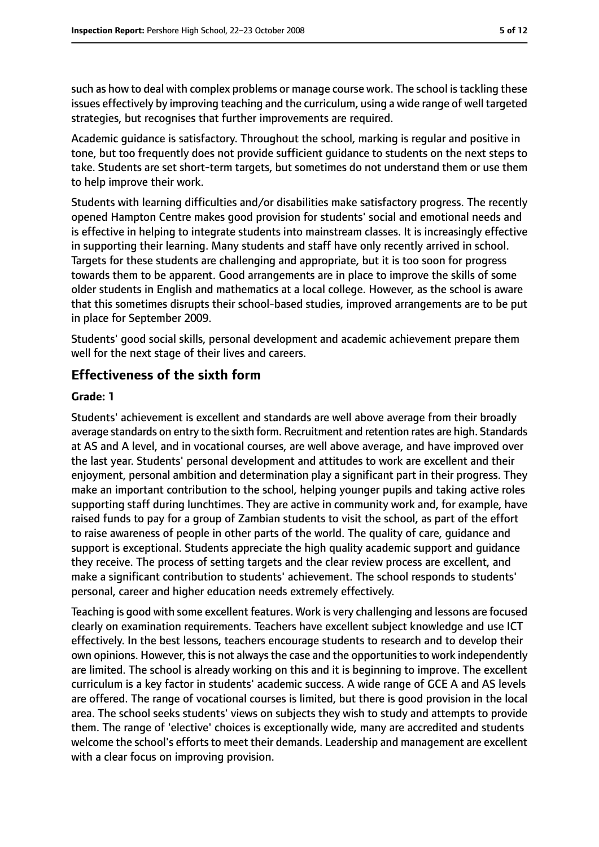such as how to deal with complex problems or manage course work. The school is tackling these issues effectively by improving teaching and the curriculum, using a wide range of well targeted strategies, but recognises that further improvements are required.

Academic guidance is satisfactory. Throughout the school, marking is regular and positive in tone, but too frequently does not provide sufficient guidance to students on the next steps to take. Students are set short-term targets, but sometimes do not understand them or use them to help improve their work.

Students with learning difficulties and/or disabilities make satisfactory progress. The recently opened Hampton Centre makes good provision for students' social and emotional needs and is effective in helping to integrate students into mainstream classes. It is increasingly effective in supporting their learning. Many students and staff have only recently arrived in school. Targets for these students are challenging and appropriate, but it is too soon for progress towards them to be apparent. Good arrangements are in place to improve the skills of some older students in English and mathematics at a local college. However, as the school is aware that this sometimes disrupts their school-based studies, improved arrangements are to be put in place for September 2009.

Students' good social skills, personal development and academic achievement prepare them well for the next stage of their lives and careers.

# **Effectiveness of the sixth form**

#### **Grade: 1**

Students' achievement is excellent and standards are well above average from their broadly average standards on entry to the sixth form. Recruitment and retention rates are high. Standards at AS and A level, and in vocational courses, are well above average, and have improved over the last year. Students' personal development and attitudes to work are excellent and their enjoyment, personal ambition and determination play a significant part in their progress. They make an important contribution to the school, helping younger pupils and taking active roles supporting staff during lunchtimes. They are active in community work and, for example, have raised funds to pay for a group of Zambian students to visit the school, as part of the effort to raise awareness of people in other parts of the world. The quality of care, guidance and support is exceptional. Students appreciate the high quality academic support and guidance they receive. The process of setting targets and the clear review process are excellent, and make a significant contribution to students' achievement. The school responds to students' personal, career and higher education needs extremely effectively.

Teaching is good with some excellent features. Work is very challenging and lessons are focused clearly on examination requirements. Teachers have excellent subject knowledge and use ICT effectively. In the best lessons, teachers encourage students to research and to develop their own opinions. However, this is not always the case and the opportunities to work independently are limited. The school is already working on this and it is beginning to improve. The excellent curriculum is a key factor in students' academic success. A wide range of GCE A and AS levels are offered. The range of vocational courses is limited, but there is good provision in the local area. The school seeks students' views on subjects they wish to study and attempts to provide them. The range of 'elective' choices is exceptionally wide, many are accredited and students welcome the school's efforts to meet their demands. Leadership and management are excellent with a clear focus on improving provision.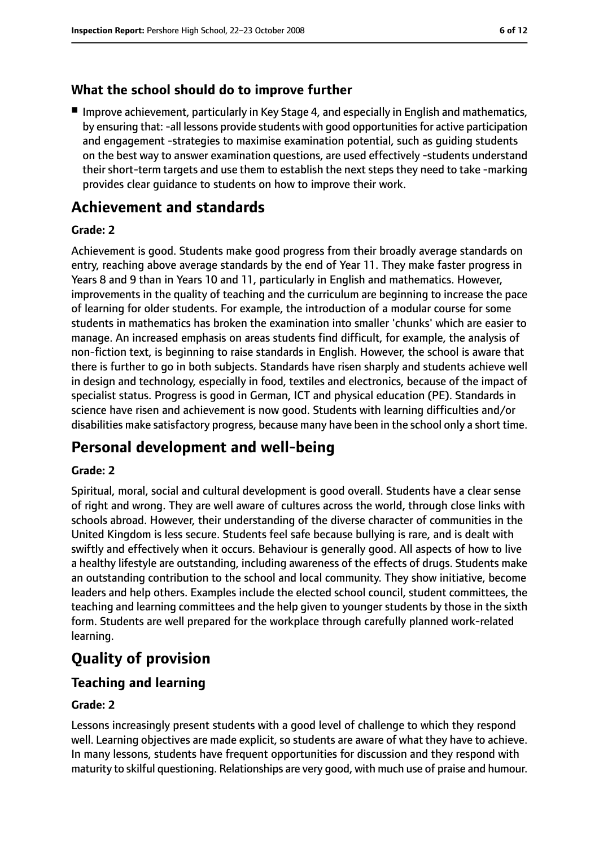# **What the school should do to improve further**

■ Improve achievement, particularly in Key Stage 4, and especially in English and mathematics, by ensuring that: -all lessons provide students with good opportunities for active participation and engagement -strategies to maximise examination potential, such as guiding students on the best way to answer examination questions, are used effectively -students understand their short-term targets and use them to establish the next steps they need to take -marking provides clear guidance to students on how to improve their work.

# **Achievement and standards**

#### **Grade: 2**

Achievement is good. Students make good progress from their broadly average standards on entry, reaching above average standards by the end of Year 11. They make faster progress in Years 8 and 9 than in Years 10 and 11, particularly in English and mathematics. However, improvements in the quality of teaching and the curriculum are beginning to increase the pace of learning for older students. For example, the introduction of a modular course for some students in mathematics has broken the examination into smaller 'chunks' which are easier to manage. An increased emphasis on areas students find difficult, for example, the analysis of non-fiction text, is beginning to raise standards in English. However, the school is aware that there is further to go in both subjects. Standards have risen sharply and students achieve well in design and technology, especially in food, textiles and electronics, because of the impact of specialist status. Progress is good in German, ICT and physical education (PE). Standards in science have risen and achievement is now good. Students with learning difficulties and/or disabilities make satisfactory progress, because many have been in the school only a short time.

# **Personal development and well-being**

#### **Grade: 2**

Spiritual, moral, social and cultural development is good overall. Students have a clear sense of right and wrong. They are well aware of cultures across the world, through close links with schools abroad. However, their understanding of the diverse character of communities in the United Kingdom is less secure. Students feel safe because bullying is rare, and is dealt with swiftly and effectively when it occurs. Behaviour is generally good. All aspects of how to live a healthy lifestyle are outstanding, including awareness of the effects of drugs. Students make an outstanding contribution to the school and local community. They show initiative, become leaders and help others. Examples include the elected school council, student committees, the teaching and learning committees and the help given to younger students by those in the sixth form. Students are well prepared for the workplace through carefully planned work-related learning.

# **Quality of provision**

# **Teaching and learning**

## **Grade: 2**

Lessons increasingly present students with a good level of challenge to which they respond well. Learning objectives are made explicit, so students are aware of what they have to achieve. In many lessons, students have frequent opportunities for discussion and they respond with maturity to skilful questioning. Relationships are very good, with much use of praise and humour.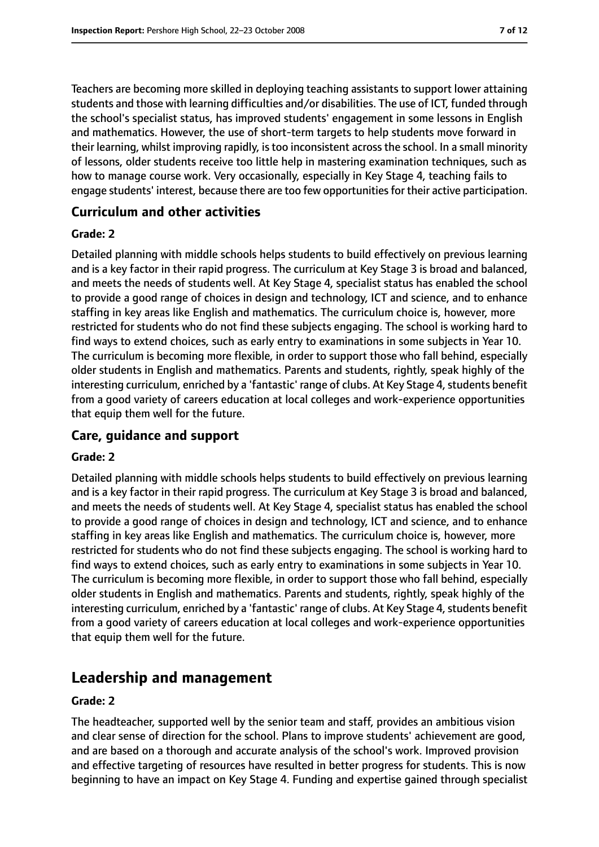Teachers are becoming more skilled in deploying teaching assistants to support lower attaining students and those with learning difficulties and/or disabilities. The use of ICT, funded through the school's specialist status, has improved students' engagement in some lessons in English and mathematics. However, the use of short-term targets to help students move forward in their learning, whilst improving rapidly, is too inconsistent across the school. In a small minority of lessons, older students receive too little help in mastering examination techniques, such as how to manage course work. Very occasionally, especially in Key Stage 4, teaching fails to engage students' interest, because there are too few opportunities for their active participation.

## **Curriculum and other activities**

#### **Grade: 2**

Detailed planning with middle schools helps students to build effectively on previous learning and is a key factor in their rapid progress. The curriculum at Key Stage 3 is broad and balanced, and meets the needs of students well. At Key Stage 4, specialist status has enabled the school to provide a good range of choices in design and technology, ICT and science, and to enhance staffing in key areas like English and mathematics. The curriculum choice is, however, more restricted for students who do not find these subjects engaging. The school is working hard to find ways to extend choices, such as early entry to examinations in some subjects in Year 10. The curriculum is becoming more flexible, in order to support those who fall behind, especially older students in English and mathematics. Parents and students, rightly, speak highly of the interesting curriculum, enriched by a 'fantastic' range of clubs. At Key Stage 4, students benefit from a good variety of careers education at local colleges and work-experience opportunities that equip them well for the future.

# **Care, guidance and support**

#### **Grade: 2**

Detailed planning with middle schools helps students to build effectively on previous learning and is a key factor in their rapid progress. The curriculum at Key Stage 3 is broad and balanced, and meets the needs of students well. At Key Stage 4, specialist status has enabled the school to provide a good range of choices in design and technology, ICT and science, and to enhance staffing in key areas like English and mathematics. The curriculum choice is, however, more restricted for students who do not find these subjects engaging. The school is working hard to find ways to extend choices, such as early entry to examinations in some subjects in Year 10. The curriculum is becoming more flexible, in order to support those who fall behind, especially older students in English and mathematics. Parents and students, rightly, speak highly of the interesting curriculum, enriched by a 'fantastic' range of clubs. At Key Stage 4, students benefit from a good variety of careers education at local colleges and work-experience opportunities that equip them well for the future.

# **Leadership and management**

#### **Grade: 2**

The headteacher, supported well by the senior team and staff, provides an ambitious vision and clear sense of direction for the school. Plans to improve students' achievement are good, and are based on a thorough and accurate analysis of the school's work. Improved provision and effective targeting of resources have resulted in better progress for students. This is now beginning to have an impact on Key Stage 4. Funding and expertise gained through specialist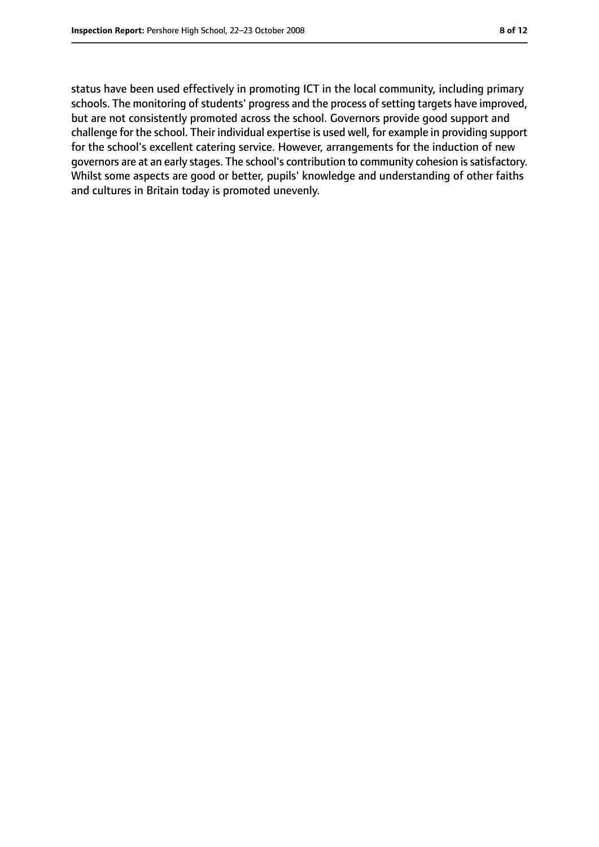status have been used effectively in promoting ICT in the local community, including primary schools. The monitoring of students' progress and the process of setting targets have improved, but are not consistently promoted across the school. Governors provide good support and challenge for the school. Their individual expertise is used well, for example in providing support for the school's excellent catering service. However, arrangements for the induction of new governors are at an early stages. The school's contribution to community cohesion is satisfactory. Whilst some aspects are good or better, pupils' knowledge and understanding of other faiths and cultures in Britain today is promoted unevenly.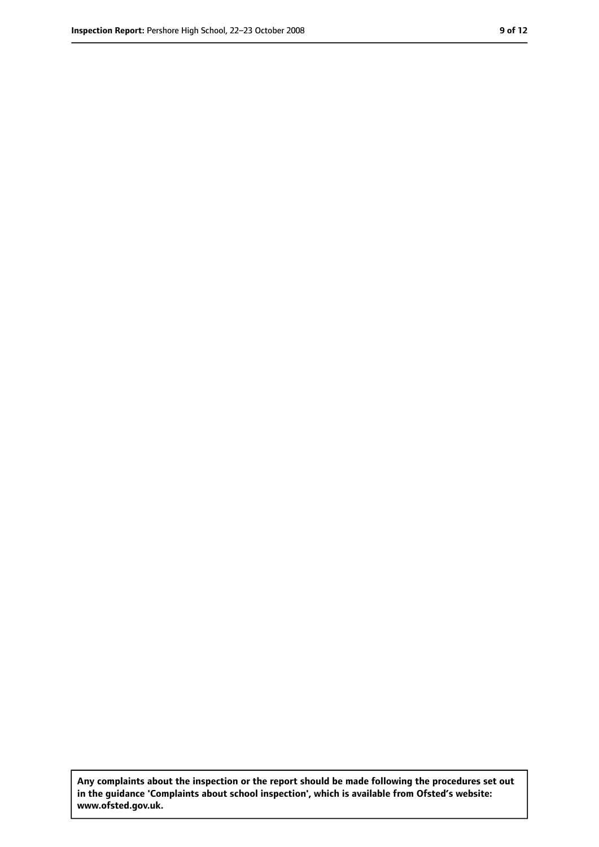**Any complaints about the inspection or the report should be made following the procedures set out in the guidance 'Complaints about school inspection', which is available from Ofsted's website: www.ofsted.gov.uk.**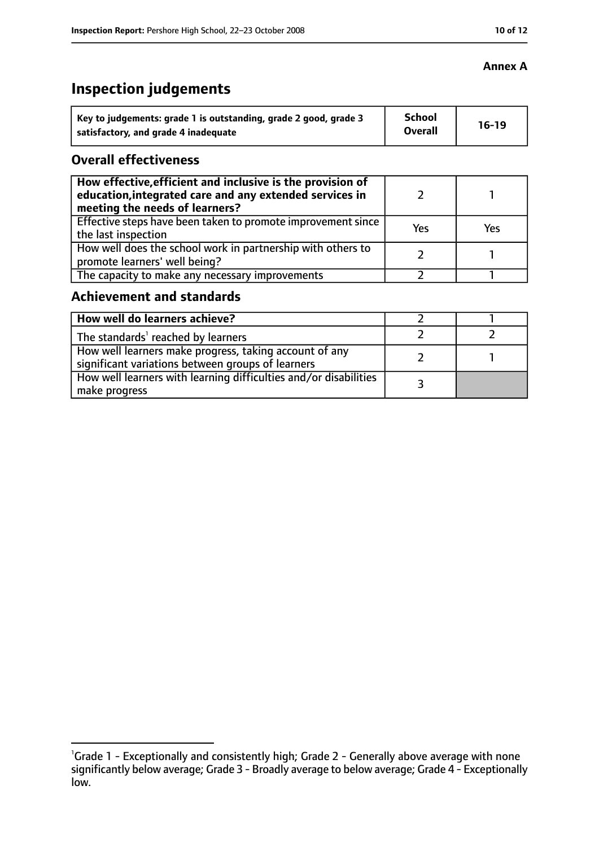# **Inspection judgements**

| Key to judgements: grade 1 is outstanding, grade 2 good, grade 3 | <b>School</b><br><b>Overall</b> | $16-19$ |
|------------------------------------------------------------------|---------------------------------|---------|
| satisfactory, and grade 4 inadequate                             |                                 |         |

# **Overall effectiveness**

| How effective, efficient and inclusive is the provision of<br>education, integrated care and any extended services in<br>meeting the needs of learners? |     |     |
|---------------------------------------------------------------------------------------------------------------------------------------------------------|-----|-----|
| Effective steps have been taken to promote improvement since<br>the last inspection                                                                     | Yes | Yes |
| How well does the school work in partnership with others to<br>promote learners' well being?                                                            |     |     |
| The capacity to make any necessary improvements                                                                                                         |     |     |

# **Achievement and standards**

| How well do learners achieve?                                                                               |  |
|-------------------------------------------------------------------------------------------------------------|--|
| The standards <sup>1</sup> reached by learners                                                              |  |
| How well learners make progress, taking account of any<br>significant variations between groups of learners |  |
| How well learners with learning difficulties and/or disabilities<br>make progress                           |  |

# **Annex A**

<sup>&</sup>lt;sup>1</sup>Grade 1 - Exceptionally and consistently high; Grade 2 - Generally above average with none significantly below average; Grade 3 - Broadly average to below average; Grade 4 - Exceptionally low.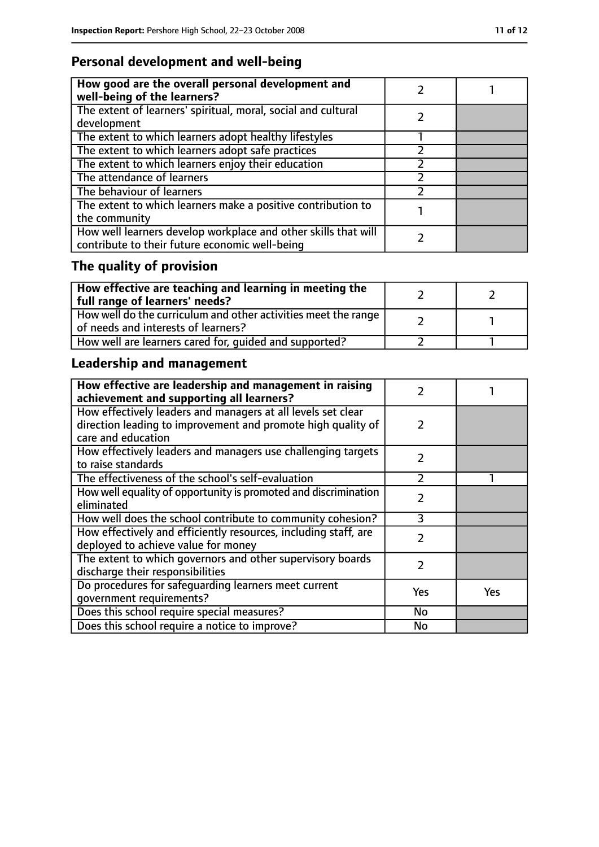# **Personal development and well-being**

| How good are the overall personal development and<br>well-being of the learners?                                 |  |
|------------------------------------------------------------------------------------------------------------------|--|
| The extent of learners' spiritual, moral, social and cultural<br>development                                     |  |
| The extent to which learners adopt healthy lifestyles                                                            |  |
| The extent to which learners adopt safe practices                                                                |  |
| The extent to which learners enjoy their education                                                               |  |
| The attendance of learners                                                                                       |  |
| The behaviour of learners                                                                                        |  |
| The extent to which learners make a positive contribution to<br>the community                                    |  |
| How well learners develop workplace and other skills that will<br>contribute to their future economic well-being |  |

# **The quality of provision**

| $\mid$ How effective are teaching and learning in meeting the<br>full range of learners' needs?       |  |
|-------------------------------------------------------------------------------------------------------|--|
| How well do the curriculum and other activities meet the range<br>of needs and interests of learners? |  |
| How well are learners cared for, quided and supported?                                                |  |

# **Leadership and management**

| How effective are leadership and management in raising<br>achievement and supporting all learners?                                                 | 2             |     |
|----------------------------------------------------------------------------------------------------------------------------------------------------|---------------|-----|
| How effectively leaders and managers at all levels set clear<br>direction leading to improvement and promote high quality of<br>care and education | 2             |     |
| How effectively leaders and managers use challenging targets<br>to raise standards                                                                 | $\mathcal{P}$ |     |
| The effectiveness of the school's self-evaluation                                                                                                  | フ             |     |
| How well equality of opportunity is promoted and discrimination<br>eliminated                                                                      | $\mathcal{P}$ |     |
| How well does the school contribute to community cohesion?                                                                                         | 3             |     |
| How effectively and efficiently resources, including staff, are<br>deployed to achieve value for money                                             | $\mathcal{P}$ |     |
| The extent to which governors and other supervisory boards<br>discharge their responsibilities                                                     | $\mathcal{P}$ |     |
| Do procedures for safequarding learners meet current<br>qovernment requirements?                                                                   | Yes           | Yes |
| Does this school require special measures?                                                                                                         | <b>No</b>     |     |
| Does this school require a notice to improve?                                                                                                      | No            |     |